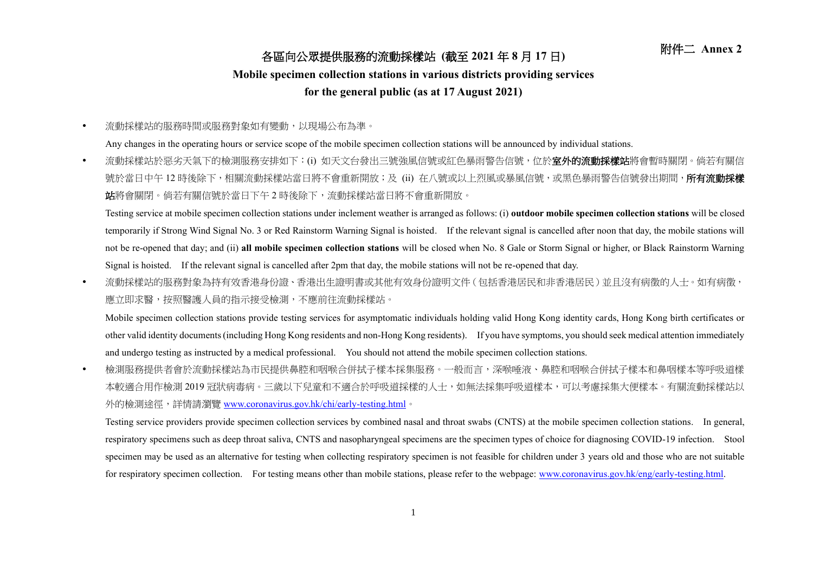## 附件二 **Annex <sup>2</sup>** 各區向公眾提供服務的流動採樣站 **(**截至 **<sup>2021</sup>** <sup>年</sup> **<sup>8</sup>** <sup>月</sup> **<sup>17</sup>** <sup>日</sup>**)**

## **Mobile specimen collection stations in various districts providing services**

## **for the general public (as at 17 August 2021)**

流動採樣站的服務時間或服務對象如有變動,以現場公布為準。

Any changes in the operating hours or service scope of the mobile specimen collection stations will be announced by individual stations.

• 流動採樣站於惡劣天氣下的檢測服務安排如下:(i) 如天文台發出三號強風信號或紅色暴雨警告信號,位於**室外的流動採樣站**將會暫時關閉。倘若有關信 號於當日中午 12 時後除下,相關流動採樣站當日將不會重新開放;及 (ii) 在八號或以上烈風或暴風信號,或黑色暴雨警告信號發出期間,**所有流動採樣** 站將會關閉。倘若有關信號於當日下午 2 時後除下,流動採樣站當日將不會重新開放。

Testing service at mobile specimen collection stations under inclement weather is arranged as follows: (i) **outdoor mobile specimen collection stations** will be closed temporarily if Strong Wind Signal No. 3 or Red Rainstorm Warning Signal is hoisted. If the relevant signal is cancelled after noon that day, the mobile stations will not be re-opened that day; and (ii) **all mobile specimen collection stations** will be closed when No. 8 Gale or Storm Signal or higher, or Black Rainstorm Warning Signal is hoisted. If the relevant signal is cancelled after 2pm that day, the mobile stations will not be re-opened that day.

• 流動採樣站的服務對象為持有效香港身份證、香港出生證明書或其他有效身份證明文件(包括香港居民和非香港居民)並且沒有病徵的人士。如有病徵, 應立即求醫,按照醫護人員的指示接受檢測,不應前往流動採樣站。

Mobile specimen collection stations provide testing services for asymptomatic individuals holding valid Hong Kong identity cards, Hong Kong birth certificates or other valid identity documents (including Hong Kong residents and non-Hong Kong residents). If you have symptoms, you should seek medical attention immediately and undergo testing as instructed by a medical professional. You should not attend the mobile specimen collection stations.

 檢測服務提供者會於流動採樣站為市民提供鼻腔和咽喉合併拭子樣本採集服務。一般而言,深喉唾液、鼻腔和咽喉合併拭子樣本和鼻咽樣本等呼吸道樣 本較適合用作檢測 2019 冠狀病毒病。三歲以下兒童和不適合於呼吸道採樣的人士,如無法採集呼吸道樣本,可以考慮採集大便樣本。有關流動採樣站以 外的檢測途徑,詳情請瀏覽 [www.coronavirus.gov.hk/chi/early-testing.html](http://www.coronavirus.gov.hk/chi/early-​testing.html)。

Testing service providers provide specimen collection services by combined nasal and throat swabs (CNTS) at the mobile specimen collection stations. In general, respiratory specimens such as deep throat saliva, CNTS and nasopharyngeal specimens are the specimen types of choice for diagnosing COVID-19 infection. Stool specimen may be used as an alternative for testing when collecting respiratory specimen is not feasible for children under 3 years old and those who are not suitable for respiratory specimen collection. For testing means other than mobile stations, please refer to the webpage: [www.coronavirus.gov.hk/eng/early-testing.html.](http://www.coronavirus.gov.hk/eng/early-testing.html)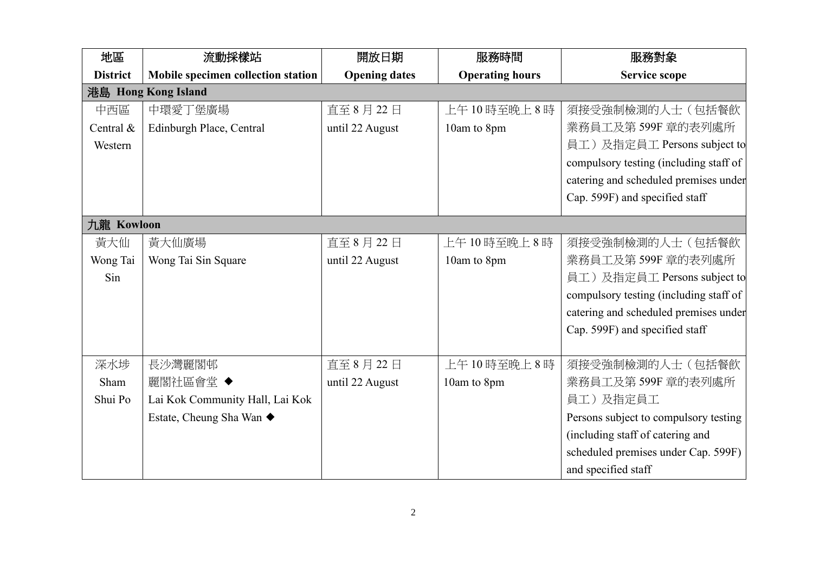| 地區              | 流動採樣站                              | 開放日期                 | 服務時間                   | 服務對象                                   |  |  |  |
|-----------------|------------------------------------|----------------------|------------------------|----------------------------------------|--|--|--|
| <b>District</b> | Mobile specimen collection station | <b>Opening dates</b> | <b>Operating hours</b> | <b>Service scope</b>                   |  |  |  |
|                 | 港島 Hong Kong Island                |                      |                        |                                        |  |  |  |
| 中西區             | 中環愛丁堡廣場                            | 直至 8月22日             | 上午10時至晚上8時             | 須接受強制檢測的人士(包括餐飲                        |  |  |  |
| Central &       | Edinburgh Place, Central           | until 22 August      | 10am to 8pm            | 業務員工及第599F 章的表列處所                      |  |  |  |
| Western         |                                    |                      |                        | 員工)及指定員工 Persons subject to            |  |  |  |
|                 |                                    |                      |                        | compulsory testing (including staff of |  |  |  |
|                 |                                    |                      |                        | catering and scheduled premises under  |  |  |  |
|                 |                                    |                      |                        | Cap. 599F) and specified staff         |  |  |  |
| 九龍 Kowloon      |                                    |                      |                        |                                        |  |  |  |
| 黃大仙             | 黃大仙廣場                              | 直至8月22日              | 上午10時至晚上8時             | 須接受強制檢測的人士(包括餐飲                        |  |  |  |
| Wong Tai        | Wong Tai Sin Square                | until 22 August      | 10am to 8pm            | 業務員工及第599F 章的表列處所                      |  |  |  |
| Sin             |                                    |                      |                        | 員工)及指定員工 Persons subject to            |  |  |  |
|                 |                                    |                      |                        | compulsory testing (including staff of |  |  |  |
|                 |                                    |                      |                        | catering and scheduled premises under  |  |  |  |
|                 |                                    |                      |                        | Cap. 599F) and specified staff         |  |  |  |
|                 |                                    |                      |                        |                                        |  |  |  |
| 深水埗             | 長沙灣麗閣邨                             | 直至8月22日              | 上午10時至晚上8時             | 須接受強制檢測的人士(包括餐飲                        |  |  |  |
| Sham            | 麗閣社區會堂 ◆                           | until 22 August      | 10am to 8pm            | 業務員工及第599F 章的表列處所                      |  |  |  |
| Shui Po         | Lai Kok Community Hall, Lai Kok    |                      |                        | 員工)及指定員工                               |  |  |  |
|                 | Estate, Cheung Sha Wan ◆           |                      |                        | Persons subject to compulsory testing  |  |  |  |
|                 |                                    |                      |                        | (including staff of catering and       |  |  |  |
|                 |                                    |                      |                        | scheduled premises under Cap. 599F)    |  |  |  |
|                 |                                    |                      |                        | and specified staff                    |  |  |  |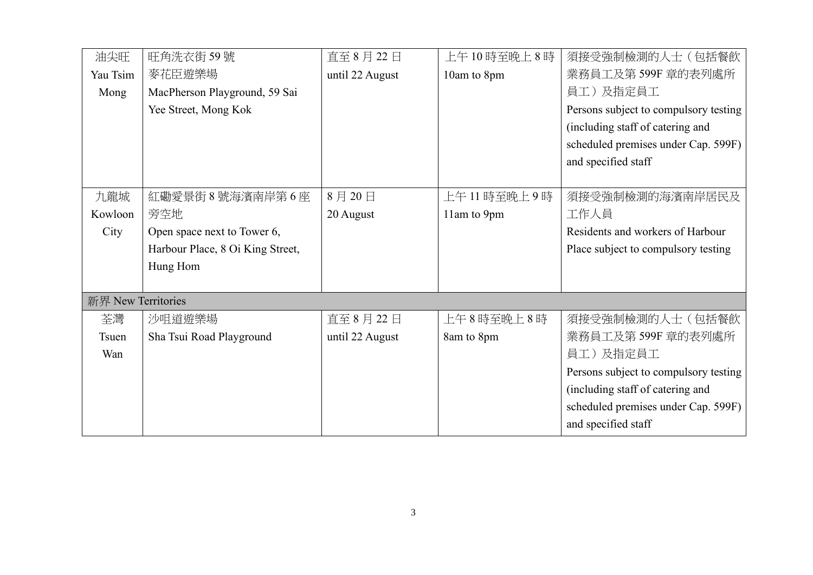| 油尖旺                | 旺角洗衣街 59號                        | 直至 8月22日        | 上午10時至晚上8時     | 須接受強制檢測的人士(包括餐飲                       |  |
|--------------------|----------------------------------|-----------------|----------------|---------------------------------------|--|
| Yau Tsim           | 麥花臣遊樂場                           | until 22 August | 10am to 8pm    | 業務員工及第599F 章的表列處所                     |  |
| Mong               | MacPherson Playground, 59 Sai    |                 |                | 員工)及指定員工                              |  |
|                    | Yee Street, Mong Kok             |                 |                | Persons subject to compulsory testing |  |
|                    |                                  |                 |                | (including staff of catering and      |  |
|                    |                                  |                 |                | scheduled premises under Cap. 599F)   |  |
|                    |                                  |                 |                | and specified staff                   |  |
|                    |                                  |                 |                |                                       |  |
| 九龍城                | 紅磡愛景街 8 號海濱南岸第 6 座               | 8月20日           | 上午 11 時至晚上 9 時 | 須接受強制檢測的海濱南岸居民及                       |  |
| Kowloon            | 旁空地                              | 20 August       | 11am to 9pm    | 工作人員                                  |  |
| City               | Open space next to Tower 6,      |                 |                | Residents and workers of Harbour      |  |
|                    | Harbour Place, 8 Oi King Street, |                 |                | Place subject to compulsory testing   |  |
|                    | Hung Hom                         |                 |                |                                       |  |
|                    |                                  |                 |                |                                       |  |
| 新界 New Territories |                                  |                 |                |                                       |  |
| 荃灣                 | 沙咀道遊樂場                           | 直至8月22日         | 上午8時至晚上8時      | 須接受強制檢測的人士(包括餐飲                       |  |
| Tsuen              | Sha Tsui Road Playground         | until 22 August | 8am to 8pm     | 業務員工及第599F 章的表列處所                     |  |
| Wan                |                                  |                 |                | 員工)及指定員工                              |  |
|                    |                                  |                 |                | Persons subject to compulsory testing |  |
|                    |                                  |                 |                | (including staff of catering and      |  |
|                    |                                  |                 |                | scheduled premises under Cap. 599F)   |  |
|                    |                                  |                 |                | and specified staff                   |  |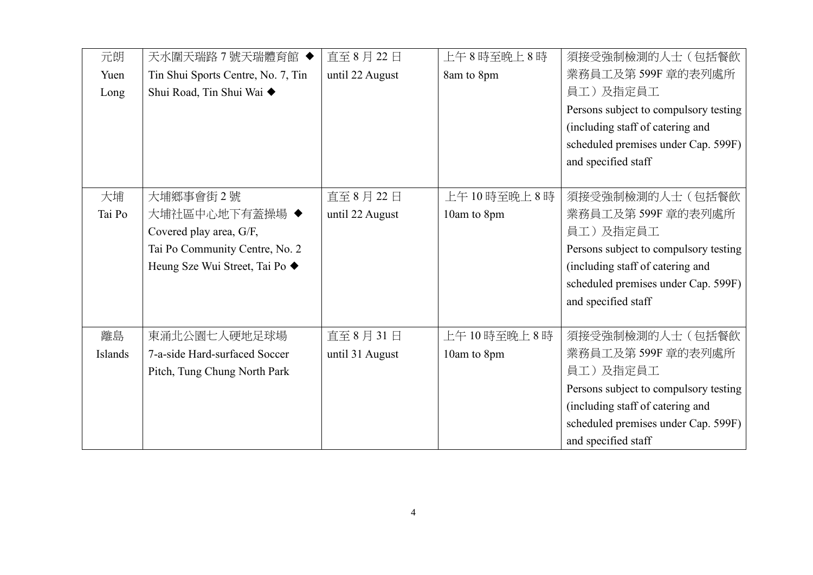| 元朗      | 天水圍天瑞路7號天瑞體育館 ◆                    | 直至 8月22日        | 上午8時至晚上8時   | 須接受強制檢測的人士(包括餐飲                       |
|---------|------------------------------------|-----------------|-------------|---------------------------------------|
| Yuen    | Tin Shui Sports Centre, No. 7, Tin | until 22 August | 8am to 8pm  | 業務員工及第599F 章的表列處所                     |
| Long    | Shui Road, Tin Shui Wai ◆          |                 |             | 員工)及指定員工                              |
|         |                                    |                 |             | Persons subject to compulsory testing |
|         |                                    |                 |             | (including staff of catering and      |
|         |                                    |                 |             | scheduled premises under Cap. 599F)   |
|         |                                    |                 |             | and specified staff                   |
|         |                                    |                 |             |                                       |
| 大埔      | 大埔鄉事會街2號                           | 直至 8月22日        | 上午10時至晚上8時  | 須接受強制檢測的人士(包括餐飲                       |
| Tai Po  | 大埔社區中心地下有蓋操場 ◆                     | until 22 August | 10am to 8pm | 業務員工及第599F 章的表列處所                     |
|         | Covered play area, G/F,            |                 |             | 員工)及指定員工                              |
|         | Tai Po Community Centre, No. 2     |                 |             | Persons subject to compulsory testing |
|         | Heung Sze Wui Street, Tai Po ◆     |                 |             | (including staff of catering and      |
|         |                                    |                 |             | scheduled premises under Cap. 599F)   |
|         |                                    |                 |             | and specified staff                   |
|         |                                    |                 |             |                                       |
| 離島      | 東涌北公園七人硬地足球場                       | 直至 8月 31日       | 上午10時至晚上8時  | 須接受強制檢測的人士(包括餐飲                       |
| Islands | 7-a-side Hard-surfaced Soccer      | until 31 August | 10am to 8pm | 業務員工及第 599F 章的表列處所                    |
|         | Pitch, Tung Chung North Park       |                 |             | 員工)及指定員工                              |
|         |                                    |                 |             | Persons subject to compulsory testing |
|         |                                    |                 |             | (including staff of catering and      |
|         |                                    |                 |             | scheduled premises under Cap. 599F)   |
|         |                                    |                 |             | and specified staff                   |